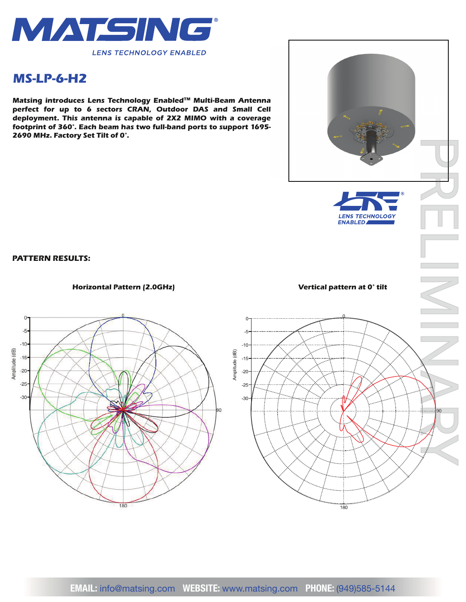

# *MS-LP-6-H2*

*Matsing introduces Lens Technology EnabledTM Multi-Beam Antenna perfect for up to 6 sectors CRAN, Outdoor DAS and Small Cell deployment. This antenna is capable of 2X2 MIMO with a coverage footprint of 360°. Each beam has two full-band ports to support 1695- 2690 MHz. Factory Set Tilt of 0°.*

#### *PATTERN RESULTS:*



**LENS TECHNOLOGY ENABLED**